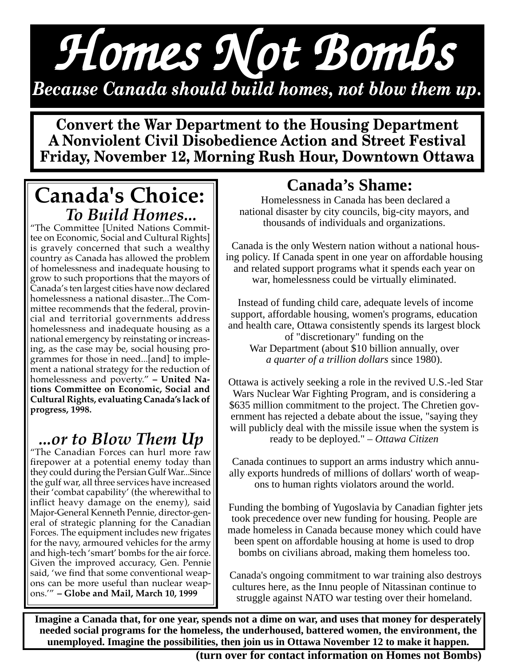# *Homes Not Bombs Homes Not Bombs Homes Not Bombs Because Canada should build homes, not blow them up.*

**Convert the War Department to the Housing Department A Nonviolent Civil Disobedience Action and Street Festival Friday, November 12, Morning Rush Hour, Downtown Ottawa**

## **Canada's Choice:** *To Build Homes...*

"The Committee [United Nations Committee on Economic, Social and Cultural Rights] is gravely concerned that such a wealthy country as Canada has allowed the problem of homelessness and inadequate housing to grow to such proportions that the mayors of Canada's ten largest cities have now declared homelessness a national disaster...The Committee recommends that the federal, provincial and territorial governments address homelessness and inadequate housing as a national emergency by reinstating or increasing, as the case may be, social housing programmes for those in need...[and] to implement a national strategy for the reduction of homelessness and poverty." **– United Nations Committee on Economic, Social and Cultural Rights, evaluating Canada's lack of progress, 1998.**

### *...or to Blow Them Up*

"The Canadian Forces can hurl more raw firepower at a potential enemy today than they could during the Persian Gulf War...Since the gulf war, all three services have increased their 'combat capability' (the wherewithal to inflict heavy damage on the enemy), said Major-General Kenneth Pennie, director-general of strategic planning for the Canadian Forces. The equipment includes new frigates for the navy, armoured vehicles for the army and high-tech 'smart' bombs for the air force. Given the improved accuracy, Gen. Pennie said, 'we find that some conventional weapons can be more useful than nuclear weapons.'" **– Globe and Mail, March 10, 1999**

### **Canada's Shame:**

 Homelessness in Canada has been declared a national disaster by city councils, big-city mayors, and thousands of individuals and organizations.

 Canada is the only Western nation without a national housing policy. If Canada spent in one year on affordable housing and related support programs what it spends each year on war, homelessness could be virtually eliminated.

 Instead of funding child care, adequate levels of income support, affordable housing, women's programs, education and health care, Ottawa consistently spends its largest block of "discretionary" funding on the War Department (about \$10 billion annually, over *a quarter of a trillion dollars* since 1980).

 Ottawa is actively seeking a role in the revived U.S.-led Star Wars Nuclear War Fighting Program, and is considering a \$635 million commitment to the project. The Chretien government has rejected a debate about the issue, "saying they will publicly deal with the missile issue when the system is ready to be deployed." *– Ottawa Citizen*

 Canada continues to support an arms industry which annually exports hundreds of millions of dollars' worth of weapons to human rights violators around the world.

Funding the bombing of Yugoslavia by Canadian fighter jets took precedence over new funding for housing. People are made homeless in Canada because money which could have been spent on affordable housing at home is used to drop bombs on civilians abroad, making them homeless too.

 Canada's ongoing commitment to war training also destroys cultures here, as the Innu people of Nitassinan continue to struggle against NATO war testing over their homeland.

**Imagine a Canada that, for one year, spends not a dime on war, and uses that money for desperately needed social programs for the homeless, the underhoused, battered women, the environment, the unemployed. Imagine the possibilities, then join us in Ottawa November 12 to make it happen.**